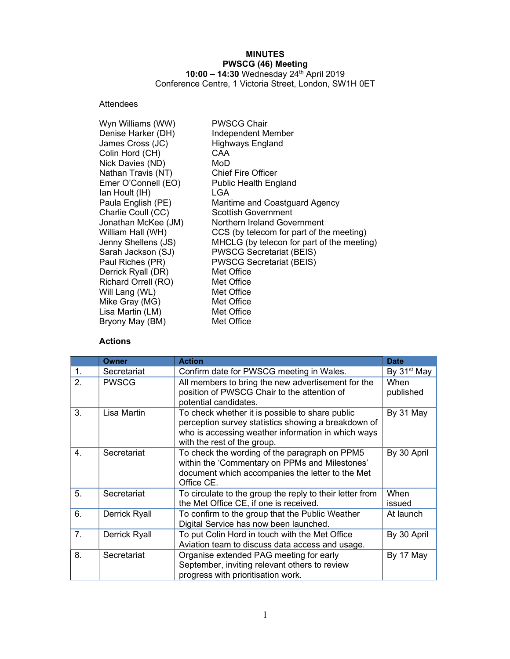# MINUTES PWSCG (46) Meeting

10:00 – 14:30 Wednesday 24<sup>th</sup> April 2019 Conference Centre, 1 Victoria Street, London, SW1H 0ET

# Attendees

| <b>PWSCG Chair</b>                         |
|--------------------------------------------|
| Independent Member                         |
| <b>Highways England</b>                    |
| CAA                                        |
| MoD                                        |
| <b>Chief Fire Officer</b>                  |
| <b>Public Health England</b>               |
| LGA                                        |
| Maritime and Coastguard Agency             |
| Scottish Government                        |
| Northern Ireland Government                |
| CCS (by telecom for part of the meeting)   |
| MHCLG (by telecon for part of the meeting) |
| <b>PWSCG Secretariat (BEIS)</b>            |
| <b>PWSCG Secretariat (BEIS)</b>            |
| Met Office                                 |
| Met Office                                 |
| Met Office                                 |
| Met Office                                 |
| Met Office                                 |
| Met Office                                 |
|                                            |

## Actions

|    | <b>Owner</b>  | <b>Action</b>                                                                                                                                                                               | <b>Date</b>             |
|----|---------------|---------------------------------------------------------------------------------------------------------------------------------------------------------------------------------------------|-------------------------|
| 1. | Secretariat   | Confirm date for PWSCG meeting in Wales.                                                                                                                                                    | By 31 <sup>st</sup> May |
| 2. | <b>PWSCG</b>  | All members to bring the new advertisement for the<br>position of PWSCG Chair to the attention of<br>potential candidates.                                                                  | When<br>published       |
| 3. | Lisa Martin   | To check whether it is possible to share public<br>perception survey statistics showing a breakdown of<br>who is accessing weather information in which ways<br>with the rest of the group. | By 31 May               |
| 4. | Secretariat   | To check the wording of the paragraph on PPM5<br>within the 'Commentary on PPMs and Milestones'<br>document which accompanies the letter to the Met<br>Office CE.                           | By 30 April             |
| 5. | Secretariat   | To circulate to the group the reply to their letter from<br>the Met Office CE, if one is received.                                                                                          | When<br>issued          |
| 6. | Derrick Ryall | To confirm to the group that the Public Weather<br>Digital Service has now been launched.                                                                                                   | At launch               |
| 7. | Derrick Ryall | To put Colin Hord in touch with the Met Office<br>Aviation team to discuss data access and usage.                                                                                           | By 30 April             |
| 8. | Secretariat   | Organise extended PAG meeting for early<br>September, inviting relevant others to review<br>progress with prioritisation work.                                                              | By 17 May               |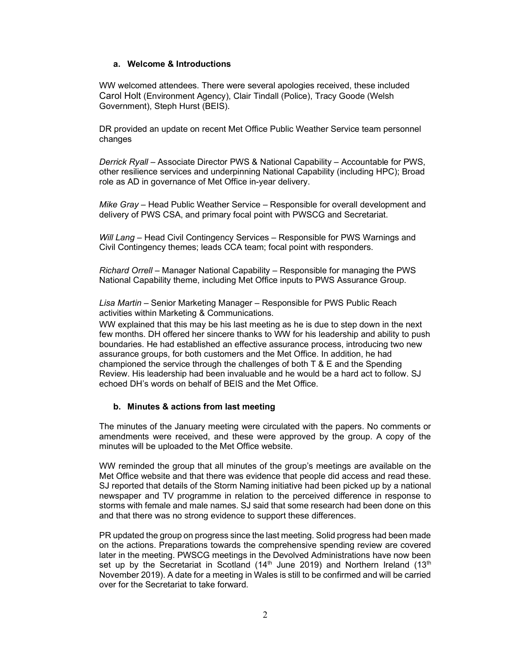### a. Welcome & Introductions

WW welcomed attendees. There were several apologies received, these included Carol Holt (Environment Agency), Clair Tindall (Police), Tracy Goode (Welsh Government), Steph Hurst (BEIS).

DR provided an update on recent Met Office Public Weather Service team personnel changes

Derrick Ryall – Associate Director PWS & National Capability – Accountable for PWS, other resilience services and underpinning National Capability (including HPC); Broad role as AD in governance of Met Office in-year delivery.

Mike Gray – Head Public Weather Service – Responsible for overall development and delivery of PWS CSA, and primary focal point with PWSCG and Secretariat.

Will Lang – Head Civil Contingency Services – Responsible for PWS Warnings and Civil Contingency themes; leads CCA team; focal point with responders.

Richard Orrell – Manager National Capability – Responsible for managing the PWS National Capability theme, including Met Office inputs to PWS Assurance Group.

Lisa Martin – Senior Marketing Manager – Responsible for PWS Public Reach activities within Marketing & Communications.

WW explained that this may be his last meeting as he is due to step down in the next few months. DH offered her sincere thanks to WW for his leadership and ability to push boundaries. He had established an effective assurance process, introducing two new assurance groups, for both customers and the Met Office. In addition, he had championed the service through the challenges of both T & E and the Spending Review. His leadership had been invaluable and he would be a hard act to follow. SJ echoed DH's words on behalf of BEIS and the Met Office.

## b. Minutes & actions from last meeting

The minutes of the January meeting were circulated with the papers. No comments or amendments were received, and these were approved by the group. A copy of the minutes will be uploaded to the Met Office website.

WW reminded the group that all minutes of the group's meetings are available on the Met Office website and that there was evidence that people did access and read these. SJ reported that details of the Storm Naming initiative had been picked up by a national newspaper and TV programme in relation to the perceived difference in response to storms with female and male names. SJ said that some research had been done on this and that there was no strong evidence to support these differences.

PR updated the group on progress since the last meeting. Solid progress had been made on the actions. Preparations towards the comprehensive spending review are covered later in the meeting. PWSCG meetings in the Devolved Administrations have now been set up by the Secretariat in Scotland  $(14<sup>th</sup>$  June 2019) and Northern Ireland  $(13<sup>th</sup>$ November 2019). A date for a meeting in Wales is still to be confirmed and will be carried over for the Secretariat to take forward.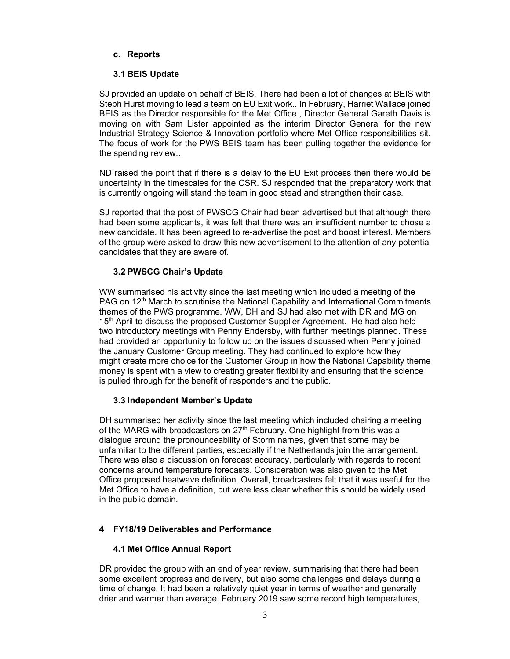## c. Reports

## 3.1 BEIS Update

SJ provided an update on behalf of BEIS. There had been a lot of changes at BEIS with Steph Hurst moving to lead a team on EU Exit work.. In February, Harriet Wallace joined BEIS as the Director responsible for the Met Office., Director General Gareth Davis is moving on with Sam Lister appointed as the interim Director General for the new Industrial Strategy Science & Innovation portfolio where Met Office responsibilities sit. The focus of work for the PWS BEIS team has been pulling together the evidence for the spending review..

ND raised the point that if there is a delay to the EU Exit process then there would be uncertainty in the timescales for the CSR. SJ responded that the preparatory work that is currently ongoing will stand the team in good stead and strengthen their case.

SJ reported that the post of PWSCG Chair had been advertised but that although there had been some applicants, it was felt that there was an insufficient number to chose a new candidate. It has been agreed to re-advertise the post and boost interest. Members of the group were asked to draw this new advertisement to the attention of any potential candidates that they are aware of.

## 3.2 PWSCG Chair's Update

WW summarised his activity since the last meeting which included a meeting of the PAG on 12<sup>th</sup> March to scrutinise the National Capability and International Commitments themes of the PWS programme. WW, DH and SJ had also met with DR and MG on 15<sup>th</sup> April to discuss the proposed Customer Supplier Agreement. He had also held two introductory meetings with Penny Endersby, with further meetings planned. These had provided an opportunity to follow up on the issues discussed when Penny joined the January Customer Group meeting. They had continued to explore how they might create more choice for the Customer Group in how the National Capability theme money is spent with a view to creating greater flexibility and ensuring that the science is pulled through for the benefit of responders and the public.

## 3.3 Independent Member's Update

DH summarised her activity since the last meeting which included chairing a meeting of the MARG with broadcasters on  $27<sup>th</sup>$  February. One highlight from this was a dialogue around the pronounceability of Storm names, given that some may be unfamiliar to the different parties, especially if the Netherlands join the arrangement. There was also a discussion on forecast accuracy, particularly with regards to recent concerns around temperature forecasts. Consideration was also given to the Met Office proposed heatwave definition. Overall, broadcasters felt that it was useful for the Met Office to have a definition, but were less clear whether this should be widely used in the public domain.

# 4 FY18/19 Deliverables and Performance

# 4.1 Met Office Annual Report

DR provided the group with an end of year review, summarising that there had been some excellent progress and delivery, but also some challenges and delays during a time of change. It had been a relatively quiet year in terms of weather and generally drier and warmer than average. February 2019 saw some record high temperatures,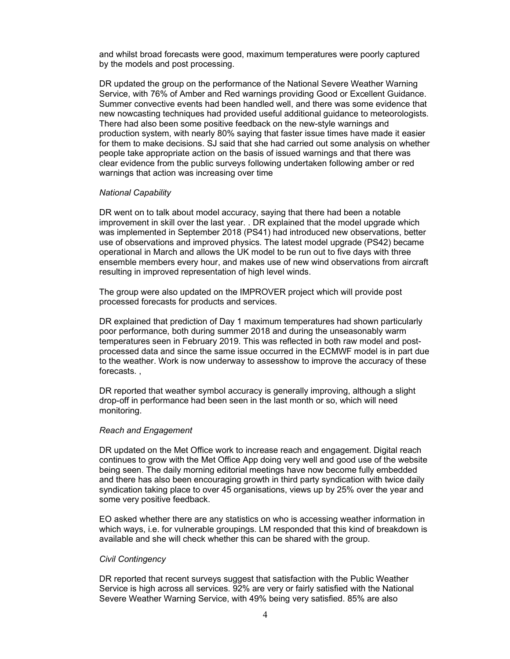and whilst broad forecasts were good, maximum temperatures were poorly captured by the models and post processing.

DR updated the group on the performance of the National Severe Weather Warning Service, with 76% of Amber and Red warnings providing Good or Excellent Guidance. Summer convective events had been handled well, and there was some evidence that new nowcasting techniques had provided useful additional guidance to meteorologists. There had also been some positive feedback on the new-style warnings and production system, with nearly 80% saying that faster issue times have made it easier for them to make decisions. SJ said that she had carried out some analysis on whether people take appropriate action on the basis of issued warnings and that there was clear evidence from the public surveys following undertaken following amber or red warnings that action was increasing over time

#### National Capability

DR went on to talk about model accuracy, saying that there had been a notable improvement in skill over the last year. . DR explained that the model upgrade which was implemented in September 2018 (PS41) had introduced new observations, better use of observations and improved physics. The latest model upgrade (PS42) became operational in March and allows the UK model to be run out to five days with three ensemble members every hour, and makes use of new wind observations from aircraft resulting in improved representation of high level winds.

The group were also updated on the IMPROVER project which will provide post processed forecasts for products and services.

DR explained that prediction of Day 1 maximum temperatures had shown particularly poor performance, both during summer 2018 and during the unseasonably warm temperatures seen in February 2019. This was reflected in both raw model and postprocessed data and since the same issue occurred in the ECMWF model is in part due to the weather. Work is now underway to assesshow to improve the accuracy of these forecasts. ,

DR reported that weather symbol accuracy is generally improving, although a slight drop-off in performance had been seen in the last month or so, which will need monitoring.

#### Reach and Engagement

DR updated on the Met Office work to increase reach and engagement. Digital reach continues to grow with the Met Office App doing very well and good use of the website being seen. The daily morning editorial meetings have now become fully embedded and there has also been encouraging growth in third party syndication with twice daily syndication taking place to over 45 organisations, views up by 25% over the year and some very positive feedback.

EO asked whether there are any statistics on who is accessing weather information in which ways, i.e. for vulnerable groupings. LM responded that this kind of breakdown is available and she will check whether this can be shared with the group.

#### Civil Contingency

DR reported that recent surveys suggest that satisfaction with the Public Weather Service is high across all services. 92% are very or fairly satisfied with the National Severe Weather Warning Service, with 49% being very satisfied. 85% are also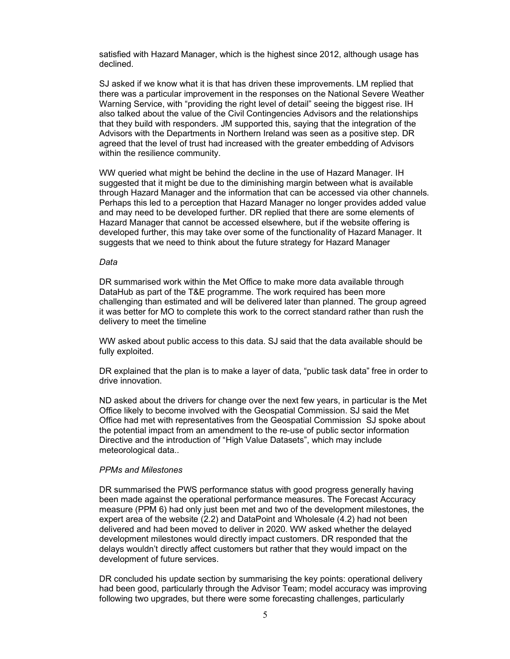satisfied with Hazard Manager, which is the highest since 2012, although usage has declined.

SJ asked if we know what it is that has driven these improvements. LM replied that there was a particular improvement in the responses on the National Severe Weather Warning Service, with "providing the right level of detail" seeing the biggest rise. IH also talked about the value of the Civil Contingencies Advisors and the relationships that they build with responders. JM supported this, saying that the integration of the Advisors with the Departments in Northern Ireland was seen as a positive step. DR agreed that the level of trust had increased with the greater embedding of Advisors within the resilience community.

WW queried what might be behind the decline in the use of Hazard Manager. IH suggested that it might be due to the diminishing margin between what is available through Hazard Manager and the information that can be accessed via other channels. Perhaps this led to a perception that Hazard Manager no longer provides added value and may need to be developed further. DR replied that there are some elements of Hazard Manager that cannot be accessed elsewhere, but if the website offering is developed further, this may take over some of the functionality of Hazard Manager. It suggests that we need to think about the future strategy for Hazard Manager

#### Data

DR summarised work within the Met Office to make more data available through DataHub as part of the T&E programme. The work required has been more challenging than estimated and will be delivered later than planned. The group agreed it was better for MO to complete this work to the correct standard rather than rush the delivery to meet the timeline

WW asked about public access to this data. SJ said that the data available should be fully exploited.

DR explained that the plan is to make a layer of data, "public task data" free in order to drive innovation.

ND asked about the drivers for change over the next few years, in particular is the Met Office likely to become involved with the Geospatial Commission. SJ said the Met Office had met with representatives from the Geospatial Commission SJ spoke about the potential impact from an amendment to the re-use of public sector information Directive and the introduction of "High Value Datasets", which may include meteorological data..

#### PPMs and Milestones

DR summarised the PWS performance status with good progress generally having been made against the operational performance measures. The Forecast Accuracy measure (PPM 6) had only just been met and two of the development milestones, the expert area of the website (2.2) and DataPoint and Wholesale (4.2) had not been delivered and had been moved to deliver in 2020. WW asked whether the delayed development milestones would directly impact customers. DR responded that the delays wouldn't directly affect customers but rather that they would impact on the development of future services.

DR concluded his update section by summarising the key points: operational delivery had been good, particularly through the Advisor Team; model accuracy was improving following two upgrades, but there were some forecasting challenges, particularly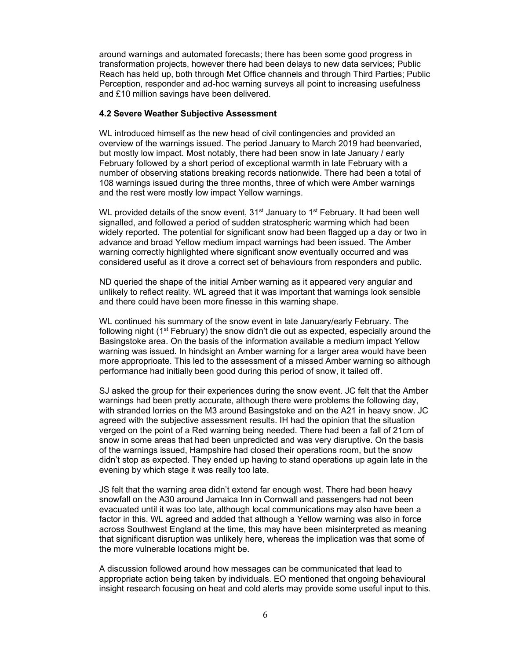around warnings and automated forecasts; there has been some good progress in transformation projects, however there had been delays to new data services; Public Reach has held up, both through Met Office channels and through Third Parties; Public Perception, responder and ad-hoc warning surveys all point to increasing usefulness and £10 million savings have been delivered.

#### 4.2 Severe Weather Subjective Assessment

WL introduced himself as the new head of civil contingencies and provided an overview of the warnings issued. The period January to March 2019 had beenvaried, but mostly low impact. Most notably, there had been snow in late January / early February followed by a short period of exceptional warmth in late February with a number of observing stations breaking records nationwide. There had been a total of 108 warnings issued during the three months, three of which were Amber warnings and the rest were mostly low impact Yellow warnings.

WL provided details of the snow event,  $31<sup>st</sup>$  January to  $1<sup>st</sup>$  February. It had been well signalled, and followed a period of sudden stratospheric warming which had been widely reported. The potential for significant snow had been flagged up a day or two in advance and broad Yellow medium impact warnings had been issued. The Amber warning correctly highlighted where significant snow eventually occurred and was considered useful as it drove a correct set of behaviours from responders and public.

ND queried the shape of the initial Amber warning as it appeared very angular and unlikely to reflect reality. WL agreed that it was important that warnings look sensible and there could have been more finesse in this warning shape.

WL continued his summary of the snow event in late January/early February. The following night ( $1<sup>st</sup>$  February) the snow didn't die out as expected, especially around the Basingstoke area. On the basis of the information available a medium impact Yellow warning was issued. In hindsight an Amber warning for a larger area would have been more approprioate. This led to the assessment of a missed Amber warning so although performance had initially been good during this period of snow, it tailed off.

SJ asked the group for their experiences during the snow event. JC felt that the Amber warnings had been pretty accurate, although there were problems the following day, with stranded lorries on the M3 around Basingstoke and on the A21 in heavy snow. JC agreed with the subjective assessment results. IH had the opinion that the situation verged on the point of a Red warning being needed. There had been a fall of 21cm of snow in some areas that had been unpredicted and was very disruptive. On the basis of the warnings issued, Hampshire had closed their operations room, but the snow didn't stop as expected. They ended up having to stand operations up again late in the evening by which stage it was really too late.

JS felt that the warning area didn't extend far enough west. There had been heavy snowfall on the A30 around Jamaica Inn in Cornwall and passengers had not been evacuated until it was too late, although local communications may also have been a factor in this. WL agreed and added that although a Yellow warning was also in force across Southwest England at the time, this may have been misinterpreted as meaning that significant disruption was unlikely here, whereas the implication was that some of the more vulnerable locations might be.

A discussion followed around how messages can be communicated that lead to appropriate action being taken by individuals. EO mentioned that ongoing behavioural insight research focusing on heat and cold alerts may provide some useful input to this.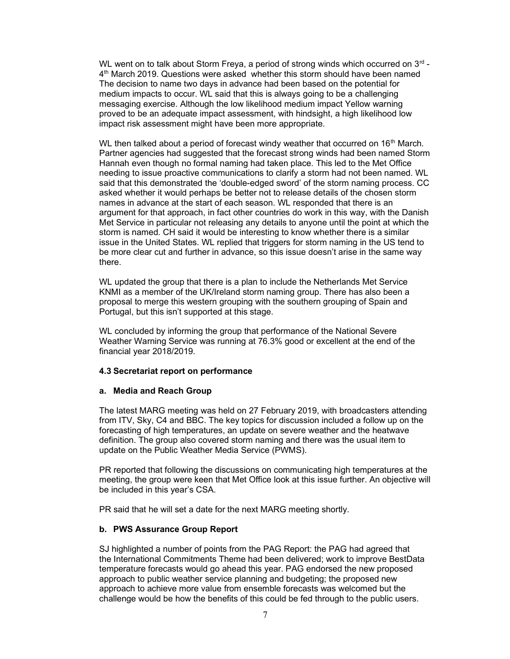WL went on to talk about Storm Freya, a period of strong winds which occurred on  $3^{\text{rd}}$  -4<sup>th</sup> March 2019. Questions were asked whether this storm should have been named The decision to name two days in advance had been based on the potential for medium impacts to occur. WL said that this is always going to be a challenging messaging exercise. Although the low likelihood medium impact Yellow warning proved to be an adequate impact assessment, with hindsight, a high likelihood low impact risk assessment might have been more appropriate.

WL then talked about a period of forecast windy weather that occurred on  $16<sup>th</sup>$  March. Partner agencies had suggested that the forecast strong winds had been named Storm Hannah even though no formal naming had taken place. This led to the Met Office needing to issue proactive communications to clarify a storm had not been named. WL said that this demonstrated the 'double-edged sword' of the storm naming process. CC asked whether it would perhaps be better not to release details of the chosen storm names in advance at the start of each season. WL responded that there is an argument for that approach, in fact other countries do work in this way, with the Danish Met Service in particular not releasing any details to anyone until the point at which the storm is named. CH said it would be interesting to know whether there is a similar issue in the United States. WL replied that triggers for storm naming in the US tend to be more clear cut and further in advance, so this issue doesn't arise in the same way there.

WL updated the group that there is a plan to include the Netherlands Met Service KNMI as a member of the UK/Ireland storm naming group. There has also been a proposal to merge this western grouping with the southern grouping of Spain and Portugal, but this isn't supported at this stage.

WL concluded by informing the group that performance of the National Severe Weather Warning Service was running at 76.3% good or excellent at the end of the financial year 2018/2019.

#### 4.3 Secretariat report on performance

#### a. Media and Reach Group

The latest MARG meeting was held on 27 February 2019, with broadcasters attending from ITV, Sky, C4 and BBC. The key topics for discussion included a follow up on the forecasting of high temperatures, an update on severe weather and the heatwave definition. The group also covered storm naming and there was the usual item to update on the Public Weather Media Service (PWMS).

PR reported that following the discussions on communicating high temperatures at the meeting, the group were keen that Met Office look at this issue further. An objective will be included in this year's CSA.

PR said that he will set a date for the next MARG meeting shortly.

#### b. PWS Assurance Group Report

SJ highlighted a number of points from the PAG Report: the PAG had agreed that the International Commitments Theme had been delivered; work to improve BestData temperature forecasts would go ahead this year. PAG endorsed the new proposed approach to public weather service planning and budgeting; the proposed new approach to achieve more value from ensemble forecasts was welcomed but the challenge would be how the benefits of this could be fed through to the public users.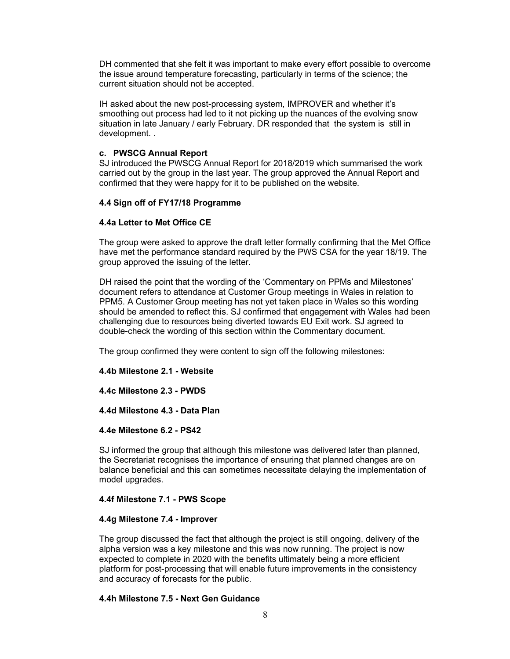DH commented that she felt it was important to make every effort possible to overcome the issue around temperature forecasting, particularly in terms of the science; the current situation should not be accepted.

IH asked about the new post-processing system, IMPROVER and whether it's smoothing out process had led to it not picking up the nuances of the evolving snow situation in late January / early February. DR responded that the system is still in development. .

## c. PWSCG Annual Report

SJ introduced the PWSCG Annual Report for 2018/2019 which summarised the work carried out by the group in the last year. The group approved the Annual Report and confirmed that they were happy for it to be published on the website.

# 4.4 Sign off of FY17/18 Programme

# 4.4a Letter to Met Office CE

The group were asked to approve the draft letter formally confirming that the Met Office have met the performance standard required by the PWS CSA for the year 18/19. The group approved the issuing of the letter.

DH raised the point that the wording of the 'Commentary on PPMs and Milestones' document refers to attendance at Customer Group meetings in Wales in relation to PPM5. A Customer Group meeting has not yet taken place in Wales so this wording should be amended to reflect this. SJ confirmed that engagement with Wales had been challenging due to resources being diverted towards EU Exit work. SJ agreed to double-check the wording of this section within the Commentary document.

The group confirmed they were content to sign off the following milestones:

## 4.4b Milestone 2.1 - Website

4.4c Milestone 2.3 - PWDS

## 4.4d Milestone 4.3 - Data Plan

## 4.4e Milestone 6.2 - PS42

SJ informed the group that although this milestone was delivered later than planned, the Secretariat recognises the importance of ensuring that planned changes are on balance beneficial and this can sometimes necessitate delaying the implementation of model upgrades.

## 4.4f Milestone 7.1 - PWS Scope

## 4.4g Milestone 7.4 - Improver

The group discussed the fact that although the project is still ongoing, delivery of the alpha version was a key milestone and this was now running. The project is now expected to complete in 2020 with the benefits ultimately being a more efficient platform for post-processing that will enable future improvements in the consistency and accuracy of forecasts for the public.

## 4.4h Milestone 7.5 - Next Gen Guidance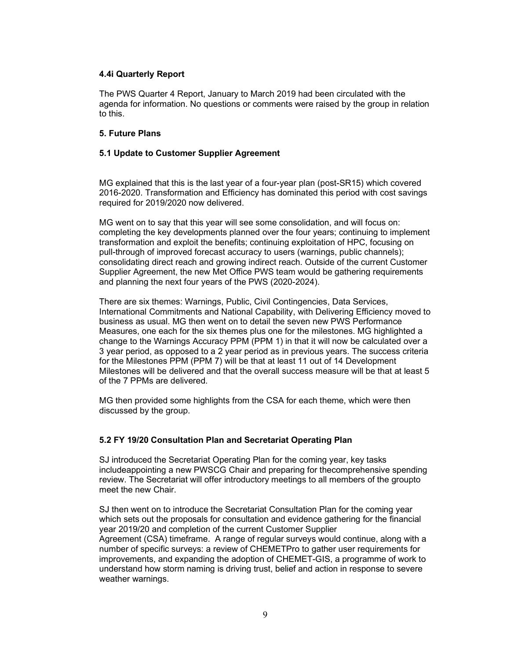## 4.4i Quarterly Report

The PWS Quarter 4 Report, January to March 2019 had been circulated with the agenda for information. No questions or comments were raised by the group in relation to this.

### 5. Future Plans

### 5.1 Update to Customer Supplier Agreement

MG explained that this is the last year of a four-year plan (post-SR15) which covered 2016-2020. Transformation and Efficiency has dominated this period with cost savings required for 2019/2020 now delivered.

MG went on to say that this year will see some consolidation, and will focus on: completing the key developments planned over the four years; continuing to implement transformation and exploit the benefits; continuing exploitation of HPC, focusing on pull-through of improved forecast accuracy to users (warnings, public channels); consolidating direct reach and growing indirect reach. Outside of the current Customer Supplier Agreement, the new Met Office PWS team would be gathering requirements and planning the next four years of the PWS (2020-2024).

There are six themes: Warnings, Public, Civil Contingencies, Data Services, International Commitments and National Capability, with Delivering Efficiency moved to business as usual. MG then went on to detail the seven new PWS Performance Measures, one each for the six themes plus one for the milestones. MG highlighted a change to the Warnings Accuracy PPM (PPM 1) in that it will now be calculated over a 3 year period, as opposed to a 2 year period as in previous years. The success criteria for the Milestones PPM (PPM 7) will be that at least 11 out of 14 Development Milestones will be delivered and that the overall success measure will be that at least 5 of the 7 PPMs are delivered.

MG then provided some highlights from the CSA for each theme, which were then discussed by the group.

## 5.2 FY 19/20 Consultation Plan and Secretariat Operating Plan

SJ introduced the Secretariat Operating Plan for the coming year, key tasks includeappointing a new PWSCG Chair and preparing for thecomprehensive spending review. The Secretariat will offer introductory meetings to all members of the groupto meet the new Chair.

SJ then went on to introduce the Secretariat Consultation Plan for the coming year which sets out the proposals for consultation and evidence gathering for the financial year 2019/20 and completion of the current Customer Supplier Agreement (CSA) timeframe. A range of regular surveys would continue, along with a number of specific surveys: a review of CHEMETPro to gather user requirements for improvements, and expanding the adoption of CHEMET-GIS, a programme of work to understand how storm naming is driving trust, belief and action in response to severe weather warnings.